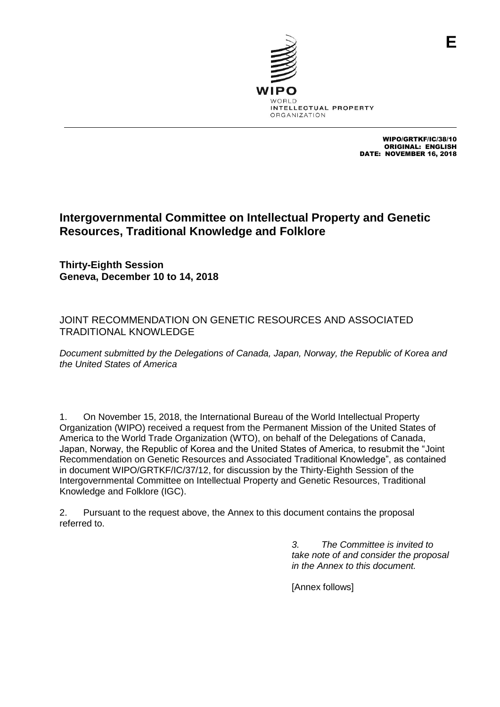

WIPO/GRTKF/IC/38/10 ORIGINAL: ENGLISH DATE: NOVEMBER 16, 2018

**E**

# **Intergovernmental Committee on Intellectual Property and Genetic Resources, Traditional Knowledge and Folklore**

**Thirty-Eighth Session Geneva, December 10 to 14, 2018**

## JOINT RECOMMENDATION ON GENETIC RESOURCES AND ASSOCIATED TRADITIONAL KNOWLEDGE

*Document submitted by the Delegations of Canada, Japan, Norway, the Republic of Korea and the United States of America*

1. On November 15, 2018, the International Bureau of the World Intellectual Property Organization (WIPO) received a request from the Permanent Mission of the United States of America to the World Trade Organization (WTO), on behalf of the Delegations of Canada, Japan, Norway, the Republic of Korea and the United States of America, to resubmit the "Joint Recommendation on Genetic Resources and Associated Traditional Knowledge", as contained in document WIPO/GRTKF/IC/37/12, for discussion by the Thirty-Eighth Session of the Intergovernmental Committee on Intellectual Property and Genetic Resources, Traditional Knowledge and Folklore (IGC).

2. Pursuant to the request above, the Annex to this document contains the proposal referred to.

> *3. The Committee is invited to take note of and consider the proposal in the Annex to this document.*

[Annex follows]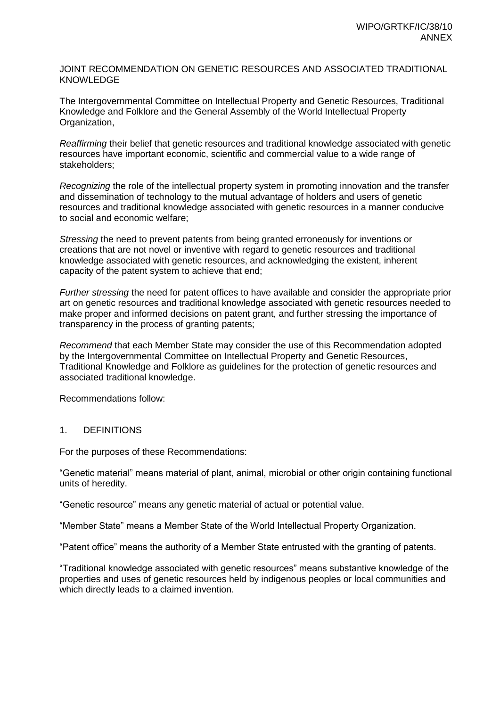#### JOINT RECOMMENDATION ON GENETIC RESOURCES AND ASSOCIATED TRADITIONAL KNOWLEDGE

The Intergovernmental Committee on Intellectual Property and Genetic Resources, Traditional Knowledge and Folklore and the General Assembly of the World Intellectual Property Organization,

*Reaffirming* their belief that genetic resources and traditional knowledge associated with genetic resources have important economic, scientific and commercial value to a wide range of stakeholders;

*Recognizing* the role of the intellectual property system in promoting innovation and the transfer and dissemination of technology to the mutual advantage of holders and users of genetic resources and traditional knowledge associated with genetic resources in a manner conducive to social and economic welfare;

*Stressing* the need to prevent patents from being granted erroneously for inventions or creations that are not novel or inventive with regard to genetic resources and traditional knowledge associated with genetic resources, and acknowledging the existent, inherent capacity of the patent system to achieve that end;

*Further stressing* the need for patent offices to have available and consider the appropriate prior art on genetic resources and traditional knowledge associated with genetic resources needed to make proper and informed decisions on patent grant, and further stressing the importance of transparency in the process of granting patents;

*Recommend* that each Member State may consider the use of this Recommendation adopted by the Intergovernmental Committee on Intellectual Property and Genetic Resources, Traditional Knowledge and Folklore as guidelines for the protection of genetic resources and associated traditional knowledge.

Recommendations follow:

### 1. DEFINITIONS

For the purposes of these Recommendations:

"Genetic material" means material of plant, animal, microbial or other origin containing functional units of heredity.

"Genetic resource" means any genetic material of actual or potential value.

"Member State" means a Member State of the World Intellectual Property Organization.

"Patent office" means the authority of a Member State entrusted with the granting of patents.

"Traditional knowledge associated with genetic resources" means substantive knowledge of the properties and uses of genetic resources held by indigenous peoples or local communities and which directly leads to a claimed invention.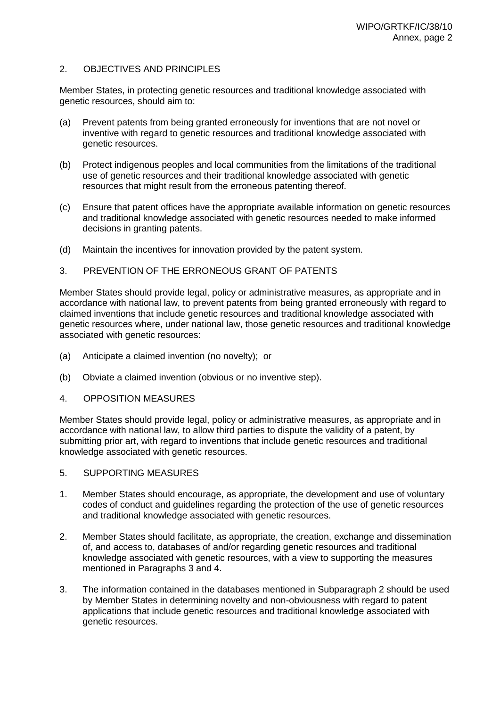### 2. OBJECTIVES AND PRINCIPLES

Member States, in protecting genetic resources and traditional knowledge associated with genetic resources, should aim to:

- (a) Prevent patents from being granted erroneously for inventions that are not novel or inventive with regard to genetic resources and traditional knowledge associated with genetic resources.
- (b) Protect indigenous peoples and local communities from the limitations of the traditional use of genetic resources and their traditional knowledge associated with genetic resources that might result from the erroneous patenting thereof.
- (c) Ensure that patent offices have the appropriate available information on genetic resources and traditional knowledge associated with genetic resources needed to make informed decisions in granting patents.
- (d) Maintain the incentives for innovation provided by the patent system.

#### 3. PREVENTION OF THE ERRONEOUS GRANT OF PATENTS

Member States should provide legal, policy or administrative measures, as appropriate and in accordance with national law, to prevent patents from being granted erroneously with regard to claimed inventions that include genetic resources and traditional knowledge associated with genetic resources where, under national law, those genetic resources and traditional knowledge associated with genetic resources:

- (a) Anticipate a claimed invention (no novelty); or
- (b) Obviate a claimed invention (obvious or no inventive step).
- 4. OPPOSITION MEASURES

Member States should provide legal, policy or administrative measures, as appropriate and in accordance with national law, to allow third parties to dispute the validity of a patent, by submitting prior art, with regard to inventions that include genetic resources and traditional knowledge associated with genetic resources.

- 5. SUPPORTING MEASURES
- 1. Member States should encourage, as appropriate, the development and use of voluntary codes of conduct and guidelines regarding the protection of the use of genetic resources and traditional knowledge associated with genetic resources.
- 2. Member States should facilitate, as appropriate, the creation, exchange and dissemination of, and access to, databases of and/or regarding genetic resources and traditional knowledge associated with genetic resources, with a view to supporting the measures mentioned in Paragraphs 3 and 4.
- 3. The information contained in the databases mentioned in Subparagraph 2 should be used by Member States in determining novelty and non-obviousness with regard to patent applications that include genetic resources and traditional knowledge associated with genetic resources.